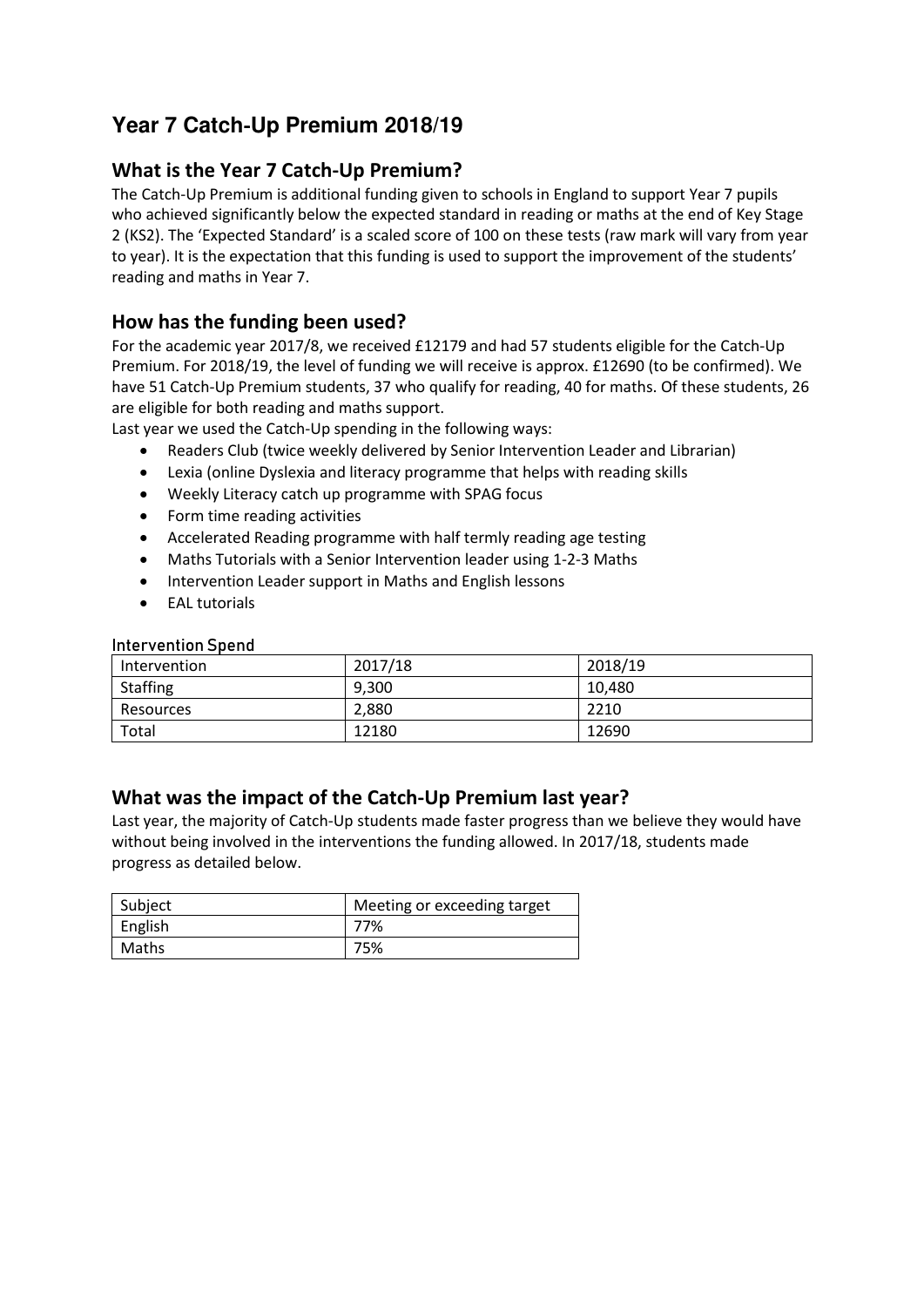# **Year 7 Catch**‐**Up Premium 2018/19**

### **What is the Year 7 Catch‐Up Premium?**

The Catch-Up Premium is additional funding given to schools in England to support Year 7 pupils who achieved significantly below the expected standard in reading or maths at the end of Key Stage 2 (KS2). The 'Expected Standard' is a scaled score of 100 on these tests (raw mark will vary from year to year). It is the expectation that this funding is used to support the improvement of the students' reading and maths in Year 7.

### **How has the funding been used?**

For the academic year 2017/8, we received £12179 and had 57 students eligible for the Catch‐Up Premium. For 2018/19, the level of funding we will receive is approx. £12690 (to be confirmed). We have 51 Catch-Up Premium students, 37 who qualify for reading, 40 for maths. Of these students, 26 are eligible for both reading and maths support.

Last year we used the Catch-Up spending in the following ways:

- Readers Club (twice weekly delivered by Senior Intervention Leader and Librarian)
- Lexia (online Dyslexia and literacy programme that helps with reading skills
- Weekly Literacy catch up programme with SPAG focus
- Form time reading activities
- Accelerated Reading programme with half termly reading age testing
- Maths Tutorials with a Senior Intervention leader using 1‐2‐3 Maths
- Intervention Leader support in Maths and English lessons
- EAL tutorials

#### Intervention Spend

| Intervention | 2017/18 | 2018/19 |
|--------------|---------|---------|
| Staffing     | 9,300   | 10,480  |
| Resources    | 2,880   | 2210    |
| Total        | 12180   | 12690   |

### **What was the impact of the Catch‐Up Premium last year?**

Last year, the majority of Catch‐Up students made faster progress than we believe they would have without being involved in the interventions the funding allowed. In 2017/18, students made progress as detailed below.

| Subject | Meeting or exceeding target |
|---------|-----------------------------|
| English | 77%                         |
| Maths   | 75%                         |